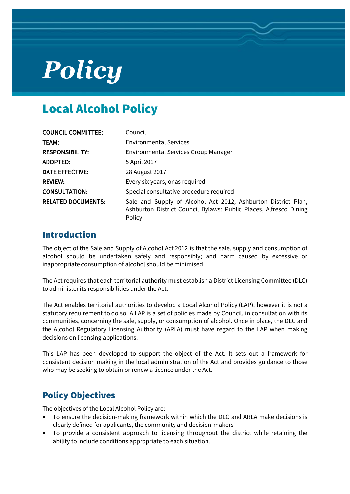# *Policy*

## Local Alcohol Policy

| <b>COUNCIL COMMITTEE:</b> | Council                                                                                                                                       |  |  |  |
|---------------------------|-----------------------------------------------------------------------------------------------------------------------------------------------|--|--|--|
| TEAM:                     | <b>Environmental Services</b>                                                                                                                 |  |  |  |
| <b>RESPONSIBILITY:</b>    | Environmental Services Group Manager                                                                                                          |  |  |  |
| ADOPTED:                  | 5 April 2017                                                                                                                                  |  |  |  |
| <b>DATE EFFECTIVE:</b>    | 28 August 2017                                                                                                                                |  |  |  |
| <b>REVIEW:</b>            | Every six years, or as required                                                                                                               |  |  |  |
| <b>CONSULTATION:</b>      | Special consultative procedure required                                                                                                       |  |  |  |
| <b>RELATED DOCUMENTS:</b> | Sale and Supply of Alcohol Act 2012, Ashburton District Plan,<br>Ashburton District Council Bylaws: Public Places, Alfresco Dining<br>Policy. |  |  |  |

### Introduction

The object of the Sale and Supply of Alcohol Act 2012 is that the sale, supply and consumption of alcohol should be undertaken safely and responsibly; and harm caused by excessive or inappropriate consumption of alcohol should be minimised.

The Act requires that each territorial authority must establish a District Licensing Committee (DLC) to administer its responsibilities under the Act.

The Act enables territorial authorities to develop a Local Alcohol Policy (LAP), however it is not a statutory requirement to do so. A LAP is a set of policies made by Council, in consultation with its communities, concerning the sale, supply, or consumption of alcohol. Once in place, the DLC and the Alcohol Regulatory Licensing Authority (ARLA) must have regard to the LAP when making decisions on licensing applications.

This LAP has been developed to support the object of the Act. It sets out a framework for consistent decision making in the local administration of the Act and provides guidance to those who may be seeking to obtain or renew a licence under the Act.

## Policy Objectives

The objectives of the Local Alcohol Policy are:

- To ensure the decision-making framework within which the DLC and ARLA make decisions is clearly defined for applicants, the community and decision-makers
- To provide a consistent approach to licensing throughout the district while retaining the ability to include conditions appropriate to each situation.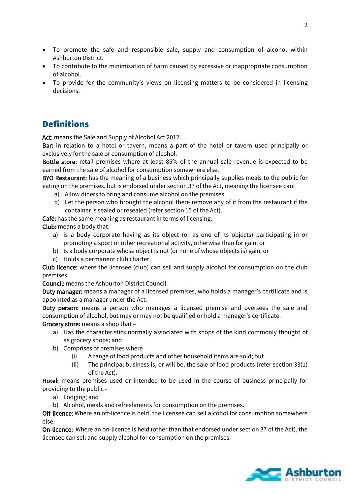- To promote the safe and responsible sale, supply and consumption of alcohol within Ashburton District.
- To contribute to the minimisation of harm caused by excessive or inappropriate consumption of alcohol.
- To provide for the community's views on licensing matters to be considered in licensing decisions.

## **Definitions**

Act: means the Sale and Supply of Alcohol Act 2012.

Bar: in relation to a hotel or tavern, means a part of the hotel or tavern used principally or exclusively for the sale or consumption of alcohol.

Bottle store: retail premises where at least 85% of the annual sale revenue is expected to be earned from the sale of alcohol for consumption somewhere else.

BYO Restaurant: has the meaning of a business which principally supplies meals to the public for eating on the premises, but is endorsed under section 37 of the Act, meaning the licensee can:

- a) Allow diners to bring and consume alcohol on the premises
- b) Let the person who brought the alcohol there remove any of it from the restaurant if the container is sealed or resealed (refer section 15 of the Act).

Café: has the same meaning as restaurant in terms of licensing.

Club: means a body that:

- a) is a body corporate having as its object (or as one of its objects) participating in or promoting a sport or other recreational activity, otherwise than for gain; or
- b) Is a body corporate whose object is not (or none of whose objects is) gain; or
- c) Holds a permanent club charter

Club licence: where the licensee (club) can sell and supply alcohol for consumption on the club premises.

Council: means the Ashburton District Council.

Duty manager: means a manager of a licensed premises, who holds a manager's certificate and is appointed as a manager under the Act.

Duty person: means a person who manages a licensed premise and oversees the sale and consumption of alcohol, but may or may not be qualified or hold a manager's certificate.

Grocery store: means a shop that –

- a) Has the characteristics normally associated with shops of the kind commonly thought of as grocery shops; and
- b) Comprises of premises where
	- (i) A range of food products and other household items are sold; but
	- (ii) The principal business is, or will be, the sale of food products (refer section 33(1) of the Act).

Hotel: means premises used or intended to be used in the course of business principally for providing to the public -

- a) Lodging; and
- b) Alcohol, meals and refreshments for consumption on the premises.

Off-licence: Where an off-licence is held, the licensee can sell alcohol for consumption somewhere else.

On-licence: Where an on-licence is held (other than that endorsed under section 37 of the Act), the licensee can sell and supply alcohol for consumption on the premises.

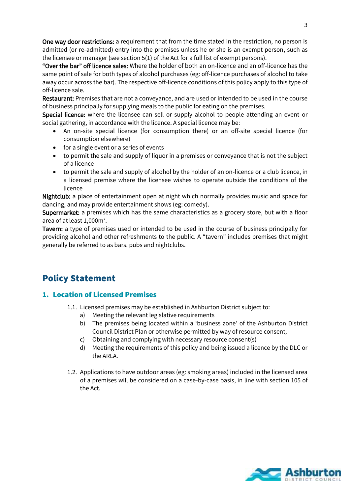One way door restrictions: a requirement that from the time stated in the restriction, no person is admitted (or re-admitted) entry into the premises unless he or she is an exempt person, such as the licensee or manager (see section 5(1) of the Act for a full list of exempt persons).

"Over the bar" off licence sales: Where the holder of both an on-licence and an off-licence has the same point of sale for both types of alcohol purchases (eg: off-licence purchases of alcohol to take away occur across the bar). The respective off-licence conditions of this policy apply to this type of off-licence sale.

Restaurant: Premises that are not a conveyance, and are used or intended to be used in the course of business principally for supplying meals to the public for eating on the premises.

Special licence: where the licensee can sell or supply alcohol to people attending an event or social gathering, in accordance with the licence. A special licence may be:

- An on-site special licence (for consumption there) or an off-site special licence (for consumption elsewhere)
- for a single event or a series of events
- to permit the sale and supply of liquor in a premises or conveyance that is not the subject of a licence
- to permit the sale and supply of alcohol by the holder of an on-licence or a club licence, in a licensed premise where the licensee wishes to operate outside the conditions of the licence

Nightclub: a place of entertainment open at night which normally provides music and space for dancing, and may provide entertainment shows (eg: comedy).

Supermarket: a premises which has the same characteristics as a grocery store, but with a floor area of at least  $1,000$ m<sup>2</sup>.

Tavern: a type of premises used or intended to be used in the course of business principally for providing alcohol and other refreshments to the public. A "tavern" includes premises that might generally be referred to as bars, pubs and nightclubs.

## Policy Statement

#### 1. Location of Licensed Premises

- 1.1. Licensed premises may be established in Ashburton District subject to:
	- a) Meeting the relevant legislative requirements
	- b) The premises being located within a 'business zone' of the Ashburton District Council District Plan or otherwise permitted by way of resource consent;
	- c) Obtaining and complying with necessary resource consent(s)
	- d) Meeting the requirements of this policy and being issued a licence by the DLC or the ARLA.
- 1.2. Applications to have outdoor areas (eg: smoking areas) included in the licensed area of a premises will be considered on a case-by-case basis, in line with section 105 of the Act.

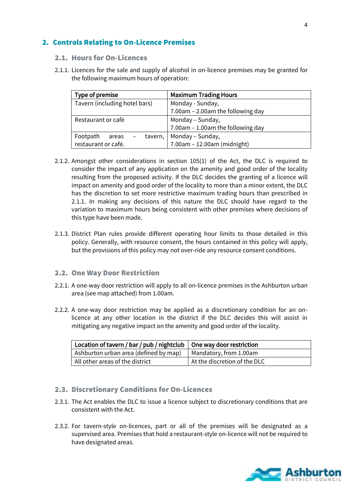#### 2. Controls Relating to On-Licence Premises

#### 2.1. Hours for On-Licences

2.1.1. Licences for the sale and supply of alcohol in on-licence premises may be granted for the following maximum hours of operation:

| Type of premise                | <b>Maximum Trading Hours</b>         |  |  |  |
|--------------------------------|--------------------------------------|--|--|--|
| Tavern (including hotel bars)  | Monday - Sunday,                     |  |  |  |
|                                | 7.00am - 2.00am the following day    |  |  |  |
| Restaurant or café             | Monday - Sunday,                     |  |  |  |
|                                | $7.00$ am – 1.00am the following day |  |  |  |
| Footpath<br>tavern,  <br>areas | Monday – Sunday,                     |  |  |  |
| restaurant or café.            | 7.00am - 12.00am (midnight)          |  |  |  |

- 2.1.2. Amongst other considerations in section 105(1) of the Act, the DLC is required to consider the impact of any application on the amenity and good order of the locality resulting from the proposed activity. If the DLC decides the granting of a licence will impact on amenity and good order of the locality to more than a minor extent, the DLC has the discretion to set more restrictive maximum trading hours than prescribed in 2.1.1. In making any decisions of this nature the DLC should have regard to the variation to maximum hours being consistent with other premises where decisions of this type have been made.
- 2.1.3. District Plan rules provide different operating hour limits to those detailed in this policy. Generally, with resource consent, the hours contained in this policy will apply, but the provisions of this policy may not over-ride any resource consent conditions.

#### 2.2. One Way Door Restriction

- 2.2.1. A one-way door restriction will apply to all on-licence premises in the Ashburton urban area (see map attached) from 1.00am.
- 2.2.2. A one-way door restriction may be applied as a discretionary condition for an onlicence at any other location in the district if the DLC decides this will assist in mitigating any negative impact on the amenity and good order of the locality.

| Location of tavern / bar / pub / nightclub $\vert$ One way door restriction |                              |  |  |
|-----------------------------------------------------------------------------|------------------------------|--|--|
| Ashburton urban area (defined by map)                                       | Mandatory, from 1.00am       |  |  |
| All other areas of the district                                             | At the discretion of the DLC |  |  |

#### 2.3. Discretionary Conditions for On-Licences

- 2.3.1. The Act enables the DLC to issue a licence subject to discretionary conditions that are consistent with the Act.
- 2.3.2. For tavern-style on-licences, part or all of the premises will be designated as a supervised area. Premises that hold a restaurant-style on-licence will not be required to have designated areas.

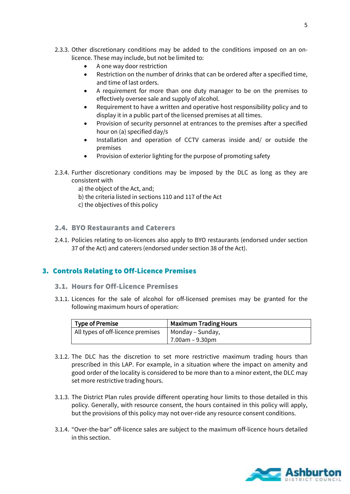- 2.3.3. Other discretionary conditions may be added to the conditions imposed on an onlicence. These may include, but not be limited to:
	- A one way door restriction
	- Restriction on the number of drinks that can be ordered after a specified time, and time of last orders.
	- A requirement for more than one duty manager to be on the premises to effectively oversee sale and supply of alcohol.
	- Requirement to have a written and operative host responsibility policy and to display it in a public part of the licensed premises at all times.
	- Provision of security personnel at entrances to the premises after a specified hour on (a) specified day/s
	- Installation and operation of CCTV cameras inside and/ or outside the premises
	- Provision of exterior lighting for the purpose of promoting safety
- 2.3.4. Further discretionary conditions may be imposed by the DLC as long as they are consistent with
	- a) the object of the Act, and;
	- b) the criteria listed in sections 110 and 117 of the Act
	- c) the objectives of this policy

#### 2.4. BYO Restaurants and Caterers

2.4.1. Policies relating to on-licences also apply to BYO restaurants (endorsed under section 37 of the Act) and caterers (endorsed under section 38 of the Act).

#### 3. Controls Relating to Off-Licence Premises

#### 3.1. Hours for Off-Licence Premises

3.1.1. Licences for the sale of alcohol for off-licensed premises may be granted for the following maximum hours of operation:

| Type of Premise                   | <b>Maximum Trading Hours</b> |  |  |  |
|-----------------------------------|------------------------------|--|--|--|
| All types of off-licence premises | Monday – Sunday,             |  |  |  |
|                                   | 7.00am – 9.30pm              |  |  |  |

- 3.1.2. The DLC has the discretion to set more restrictive maximum trading hours than prescribed in this LAP. For example, in a situation where the impact on amenity and good order of the locality is considered to be more than to a minor extent, the DLC may set more restrictive trading hours.
- 3.1.3. The District Plan rules provide different operating hour limits to those detailed in this policy. Generally, with resource consent, the hours contained in this policy will apply, but the provisions of this policy may not over-ride any resource consent conditions.
- 3.1.4. "Over-the-bar" off-licence sales are subject to the maximum off-licence hours detailed in this section.

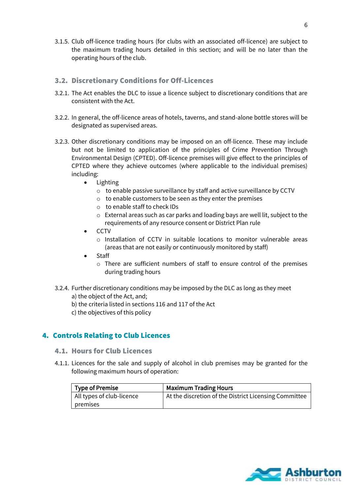3.1.5. Club off-licence trading hours (for clubs with an associated off-licence) are subject to the maximum trading hours detailed in this section; and will be no later than the operating hours of the club.

#### 3.2. Discretionary Conditions for Off-Licences

- 3.2.1. The Act enables the DLC to issue a licence subject to discretionary conditions that are consistent with the Act.
- 3.2.2. In general, the off-licence areas of hotels, taverns, and stand-alone bottle stores will be designated as supervised areas.
- 3.2.3. Other discretionary conditions may be imposed on an off-licence. These may include but not be limited to application of the principles of Crime Prevention Through Environmental Design (CPTED). Off-licence premises will give effect to the principles of CPTED where they achieve outcomes (where applicable to the individual premises) including:
	- Lighting
		- o to enable passive surveillance by staff and active surveillance by CCTV
		- o to enable customers to be seen as they enter the premises
		- o to enable staff to check IDs
		- o External areas such as car parks and loading bays are well lit, subject to the requirements of any resource consent or District Plan rule
	- $\bullet$  CCTV
		- o Installation of CCTV in suitable locations to monitor vulnerable areas (areas that are not easily or continuously monitored by staff)
	- Staff
		- o There are sufficient numbers of staff to ensure control of the premises during trading hours
- 3.2.4. Further discretionary conditions may be imposed by the DLC as long as they meet
	- a) the object of the Act, and;
	- b) the criteria listed in sections 116 and 117 of the Act
	- c) the objectives of this policy

#### 4. Controls Relating to Club Licences

#### 4.1. Hours for Club Licences

4.1.1. Licences for the sale and supply of alcohol in club premises may be granted for the following maximum hours of operation:

| <b>Type of Premise</b>    | <b>Maximum Trading Hours</b>                          |
|---------------------------|-------------------------------------------------------|
| All types of club-licence | At the discretion of the District Licensing Committee |
| premises                  |                                                       |

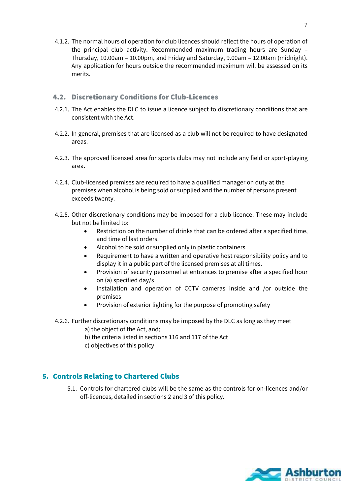4.1.2. The normal hours of operation for club licences should reflect the hours of operation of the principal club activity. Recommended maximum trading hours are Sunday – Thursday, 10.00am – 10.00pm, and Friday and Saturday, 9.00am – 12.00am (midnight). Any application for hours outside the recommended maximum will be assessed on its merits.

#### 4.2. Discretionary Conditions for Club-Licences

- 4.2.1. The Act enables the DLC to issue a licence subject to discretionary conditions that are consistent with the Act.
- 4.2.2. In general, premises that are licensed as a club will not be required to have designated areas.
- 4.2.3. The approved licensed area for sports clubs may not include any field or sport-playing area.
- 4.2.4. Club-licensed premises are required to have a qualified manager on duty at the premises when alcohol is being sold or supplied and the number of persons present exceeds twenty.
- 4.2.5. Other discretionary conditions may be imposed for a club licence. These may include but not be limited to:
	- Restriction on the number of drinks that can be ordered after a specified time, and time of last orders.
	- Alcohol to be sold or supplied only in plastic containers
	- Requirement to have a written and operative host responsibility policy and to display it in a public part of the licensed premises at all times.
	- Provision of security personnel at entrances to premise after a specified hour on (a) specified day/s
	- Installation and operation of CCTV cameras inside and /or outside the premises
	- Provision of exterior lighting for the purpose of promoting safety
- 4.2.6. Further discretionary conditions may be imposed by the DLC as long as they meet
	- a) the object of the Act, and;
	- b) the criteria listed in sections 116 and 117 of the Act
	- c) objectives of this policy

#### 5. Controls Relating to Chartered Clubs

5.1. Controls for chartered clubs will be the same as the controls for on-licences and/or off-licences, detailed in sections 2 and 3 of this policy.

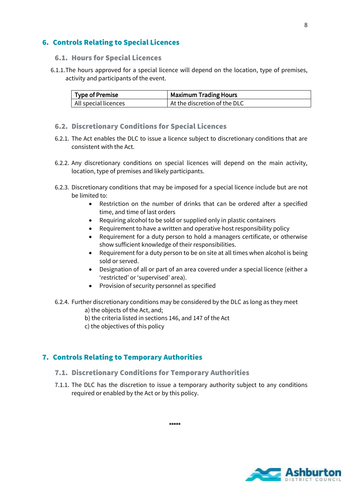#### 6. Controls Relating to Special Licences

#### 6.1. Hours for Special Licences

6.1.1.The hours approved for a special licence will depend on the location, type of premises, activity and participants of the event.

| <sup>1</sup> Type of Premise | <b>Maximum Trading Hours</b> |  |  |  |
|------------------------------|------------------------------|--|--|--|
| All special licences         | At the discretion of the DLC |  |  |  |

#### 6.2. Discretionary Conditions for Special Licences

- 6.2.1. The Act enables the DLC to issue a licence subject to discretionary conditions that are consistent with the Act.
- 6.2.2. Any discretionary conditions on special licences will depend on the main activity, location, type of premises and likely participants.
- 6.2.3. Discretionary conditions that may be imposed for a special licence include but are not be limited to:
	- Restriction on the number of drinks that can be ordered after a specified time, and time of last orders
	- Requiring alcohol to be sold or supplied only in plastic containers
	- Requirement to have a written and operative host responsibility policy
	- Requirement for a duty person to hold a managers certificate, or otherwise show sufficient knowledge of their responsibilities.
	- Requirement for a duty person to be on site at all times when alcohol is being sold or served.
	- Designation of all or part of an area covered under a special licence (either a 'restricted' or 'supervised' area).
	- Provision of security personnel as specified
- 6.2.4. Further discretionary conditions may be considered by the DLC as long as they meet
	- a) the objects of the Act, and;
	- b) the criteria listed in sections 146, and 147 of the Act
	- c) the objectives of this policy

#### 7. Controls Relating to Temporary Authorities

- 7.1. Discretionary Conditions for Temporary Authorities
- 7.1.1. The DLC has the discretion to issue a temporary authority subject to any conditions required or enabled by the Act or by this policy.